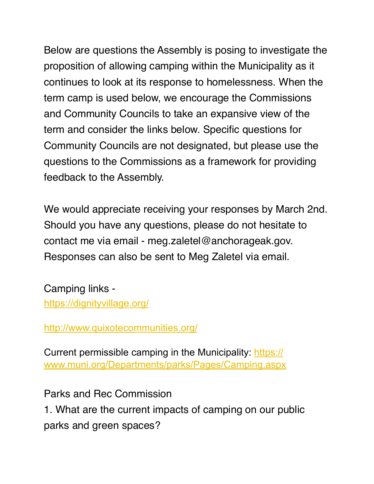Below are questions the Assembly is posing to investigate the proposition of allowing camping within the Municipality as it continues to look at its response to homelessness. When the term camp is used below, we encourage the Commissions and Community Councils to take an expansive view of the term and consider the links below. Specific questions for Community Councils are not designated, but please use the questions to the Commissions as a framework for providing feedback to the Assembly.

We would appreciate receiving your responses by March 2nd. Should you have any questions, please do not hesitate to contact me via email - meg.zaletel@anchorageak.gov. Responses can also be sent to Meg Zaletel via email.

Camping links -

<https://dignityvillage.org/>

<http://www.quixotecommunities.org/>

Current permissible camping in the Municipality: [https://](https://www.muni.org/Departments/parks/Pages/Camping.aspx) [www.muni.org/Departments/parks/Pages/Camping.aspx](https://www.muni.org/Departments/parks/Pages/Camping.aspx)

Parks and Rec Commission

1. What are the current impacts of camping on our public parks and green spaces?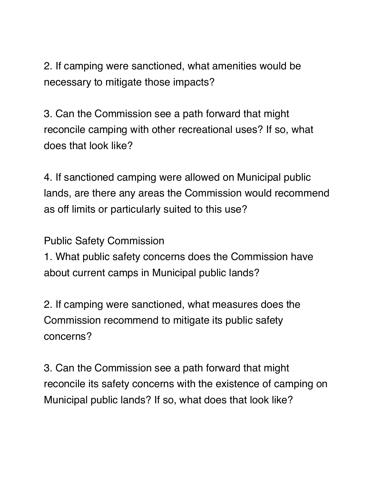2. If camping were sanctioned, what amenities would be necessary to mitigate those impacts?

3. Can the Commission see a path forward that might reconcile camping with other recreational uses? If so, what does that look like?

4. If sanctioned camping were allowed on Municipal public lands, are there any areas the Commission would recommend as off limits or particularly suited to this use?

Public Safety Commission

1. What public safety concerns does the Commission have about current camps in Municipal public lands?

2. If camping were sanctioned, what measures does the Commission recommend to mitigate its public safety concerns?

3. Can the Commission see a path forward that might reconcile its safety concerns with the existence of camping on Municipal public lands? If so, what does that look like?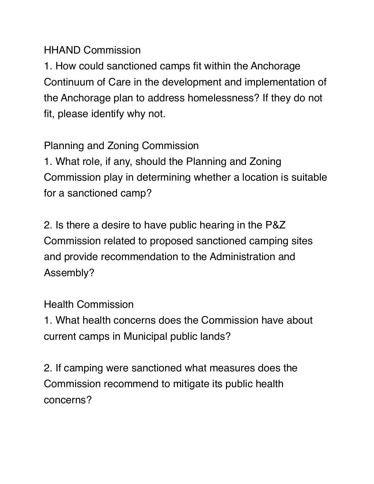HHAND Commission

1. How could sanctioned camps fit within the Anchorage Continuum of Care in the development and implementation of the Anchorage plan to address homelessness? If they do not fit, please identify why not.

Planning and Zoning Commission

1. What role, if any, should the Planning and Zoning Commission play in determining whether a location is suitable for a sanctioned camp?

2. Is there a desire to have public hearing in the P&Z Commission related to proposed sanctioned camping sites and provide recommendation to the Administration and Assembly?

Health Commission

1. What health concerns does the Commission have about current camps in Municipal public lands?

2. If camping were sanctioned what measures does the Commission recommend to mitigate its public health concerns?